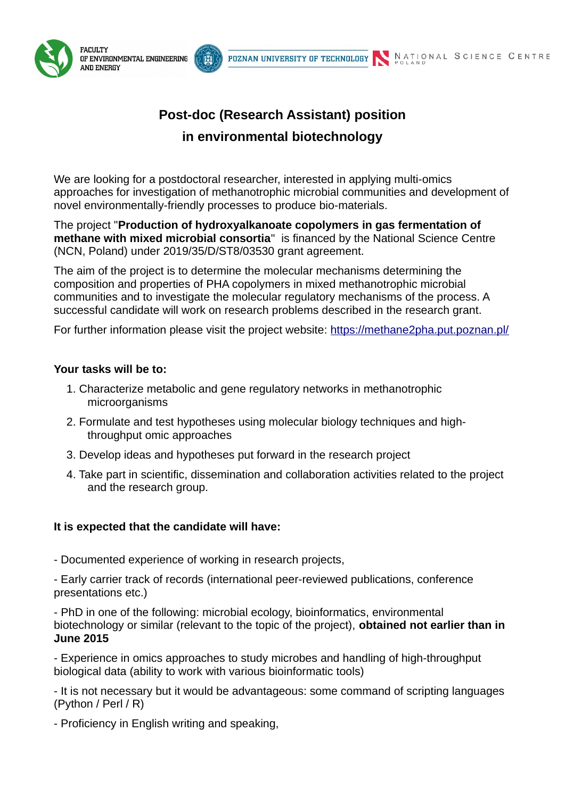



f.



# **in environmental biotechnology**

POZNAN UNIVERSITY OF TECHNOLOGY

We are looking for a postdoctoral researcher, interested in applying multi-omics approaches for investigation of methanotrophic microbial communities and development of novel environmentally-friendly processes to produce bio-materials.

The project "**Production of hydroxyalkanoate copolymers in gas fermentation of methane with mixed microbial consortia**" is financed by the National Science Centre (NCN, Poland) under 2019/35/D/ST8/03530 grant agreement.

The aim of the project is to determine the molecular mechanisms determining the composition and properties of PHA copolymers in mixed methanotrophic microbial communities and to investigate the molecular regulatory mechanisms of the process. A successful candidate will work on research problems described in the research grant.

For further information please visit the project website:<https://methane2pha.put.poznan.pl/>

# **Your tasks will be to:**

- 1. Characterize metabolic and gene regulatory networks in methanotrophic microorganisms
- 2. Formulate and test hypotheses using molecular biology techniques and highthroughput omic approaches
- 3. Develop ideas and hypotheses put forward in the research project
- 4. Take part in scientific, dissemination and collaboration activities related to the project and the research group.

# **It is expected that the candidate will have:**

- Documented experience of working in research projects,

- Early carrier track of records (international peer-reviewed publications, conference presentations etc.)

- PhD in one of the following: microbial ecology, bioinformatics, environmental biotechnology or similar (relevant to the topic of the project), **obtained not earlier than in June 2015**

- Experience in omics approaches to study microbes and handling of high-throughput biological data (ability to work with various bioinformatic tools)

- It is not necessary but it would be advantageous: some command of scripting languages (Python / Perl / R)

- Proficiency in English writing and speaking,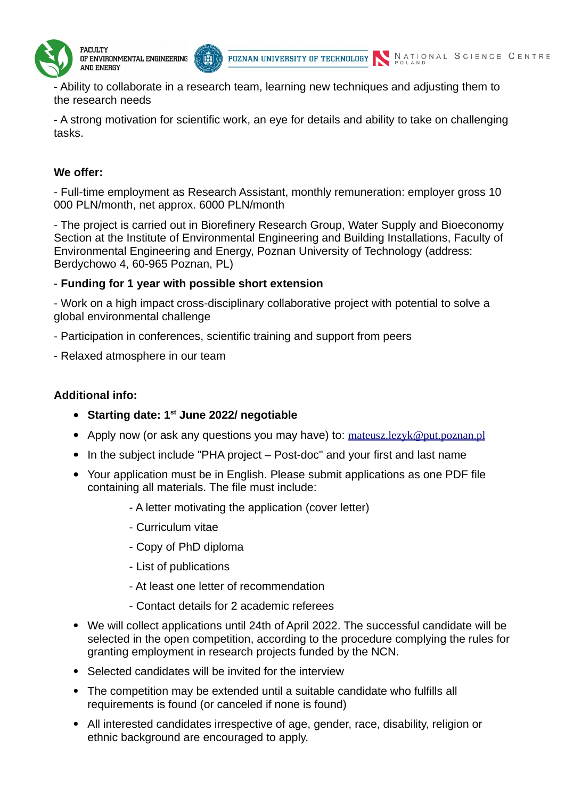

- Ability to collaborate in a research team, learning new techniques and adjusting them to the research needs

- A strong motivation for scientific work, an eye for details and ability to take on challenging tasks.

## **We offer:**

- Full-time employment as Research Assistant, monthly remuneration: employer gross 10 000 PLN/month, net approx. 6000 PLN/month

- The project is carried out in Biorefinery Research Group, Water Supply and Bioeconomy Section at the Institute of Environmental Engineering and Building Installations, Faculty of Environmental Engineering and Energy, Poznan University of Technology (address: Berdychowo 4, 60-965 Poznan, PL)

### - **Funding for 1 year with possible short extension**

f.

- Work on a high impact cross-disciplinary collaborative project with potential to solve a global environmental challenge

- Participation in conferences, scientific training and support from peers
- Relaxed atmosphere in our team

#### **Additional info:**

- **Starting date: 1st June 2022/ negotiable**
- Apply now (or ask any questions you may have) to: mateusz.lezyk@put.poznan.pl
- In the subject include "PHA project Post-doc" and your first and last name
- Your application must be in English. Please submit applications as one PDF file containing all materials. The file must include:
	- A letter motivating the application (cover letter)
	- Curriculum vitae
	- Copy of PhD diploma
	- List of publications
	- At least one letter of recommendation
	- Contact details for 2 academic referees
- We will collect applications until 24th of April 2022. The successful candidate will be selected in the open competition, according to the procedure complying the rules for granting employment in research projects funded by the NCN.
- Selected candidates will be invited for the interview
- The competition may be extended until a suitable candidate who fulfills all requirements is found (or canceled if none is found)
- All interested candidates irrespective of age, gender, race, disability, religion or ethnic background are encouraged to apply.